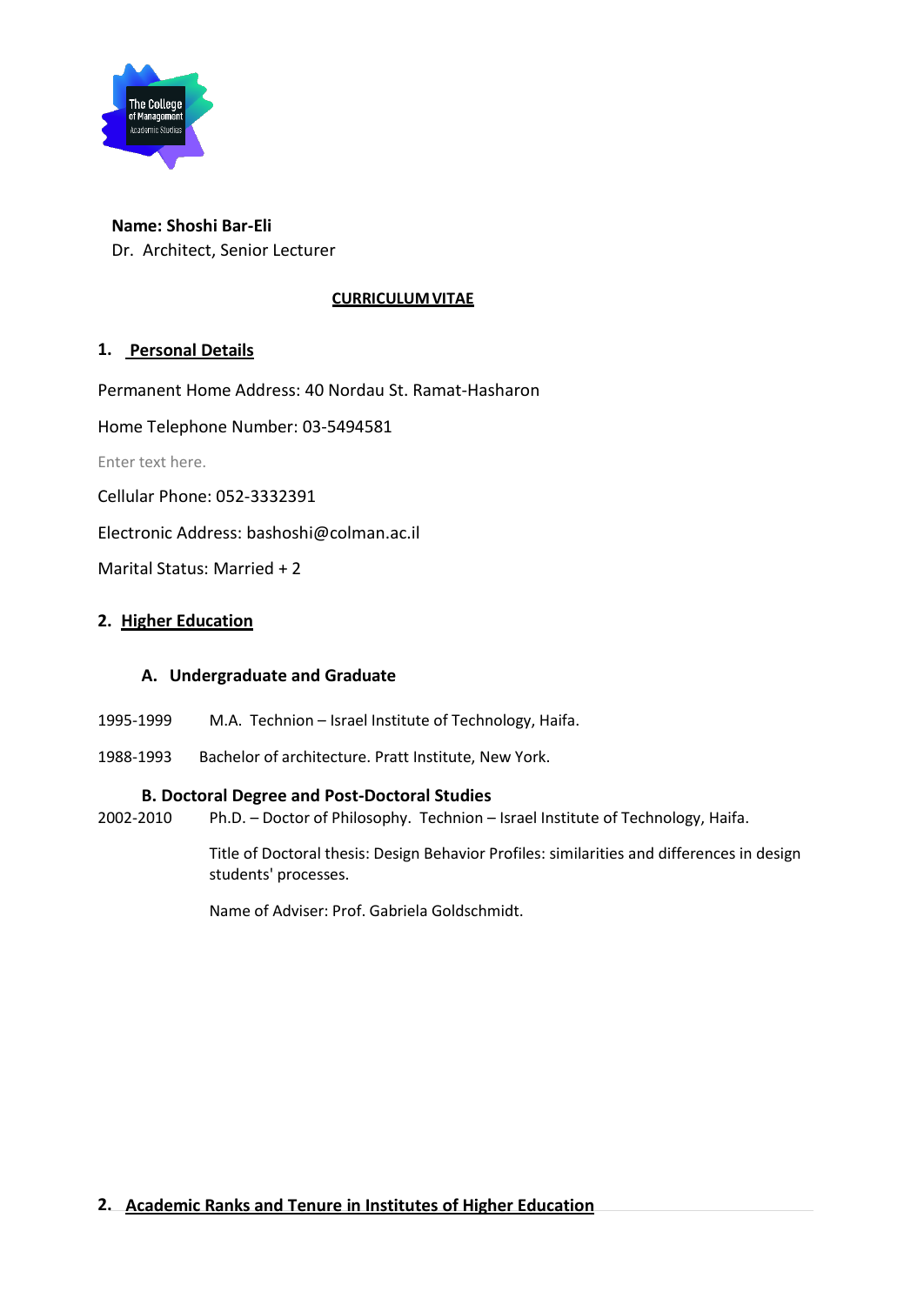

# **Name: Shoshi Bar-Eli**

Dr. Architect, Senior Lecturer

#### **CURRICULUM VITAE**

#### **1. Personal Details**

Permanent Home Address: 40 Nordau St. Ramat-Hasharon

Home Telephone Number: 03-5494581

Enter text here.

Cellular Phone: 052-3332391

Electronic Address: bashoshi@colman.ac.il

Marital Status: Married + 2

#### **2. Higher Education**

#### **A. Undergraduate and Graduate**

- 1995-1999 M.A. Technion Israel Institute of Technology, Haifa.
- 1988-1993 Bachelor of architecture. Pratt Institute, New York.

#### **B. Doctoral Degree and Post-Doctoral Studies**

2002-2010 Ph.D. – Doctor of Philosophy. Technion – Israel Institute of Technology, Haifa.

Title of Doctoral thesis: Design Behavior Profiles: similarities and differences in design students' processes.

Name of Adviser: Prof. Gabriela Goldschmidt.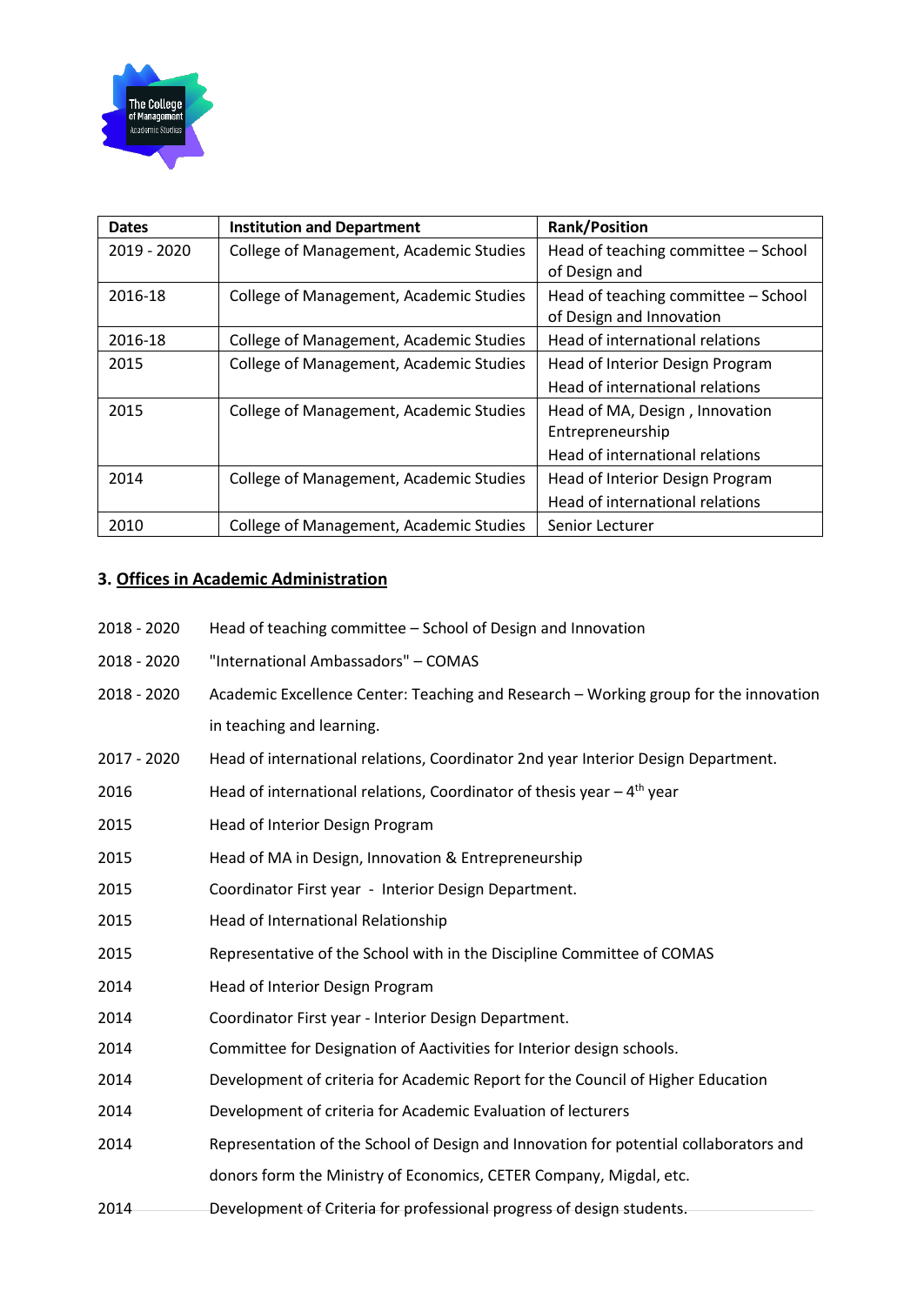

| <b>Dates</b> | <b>Institution and Department</b>       | <b>Rank/Position</b>                                            |
|--------------|-----------------------------------------|-----------------------------------------------------------------|
| 2019 - 2020  | College of Management, Academic Studies | Head of teaching committee - School<br>of Design and            |
| 2016-18      | College of Management, Academic Studies | Head of teaching committee - School<br>of Design and Innovation |
| 2016-18      | College of Management, Academic Studies | Head of international relations                                 |
| 2015         | College of Management, Academic Studies | Head of Interior Design Program                                 |
|              |                                         | Head of international relations                                 |
| 2015         | College of Management, Academic Studies | Head of MA, Design, Innovation                                  |
|              |                                         | Entrepreneurship                                                |
|              |                                         | Head of international relations                                 |
| 2014         | College of Management, Academic Studies | Head of Interior Design Program                                 |
|              |                                         | Head of international relations                                 |
| 2010         | College of Management, Academic Studies | Senior Lecturer                                                 |

## **3. Offices in Academic Administration**

| 2018 - 2020 | Head of teaching committee – School of Design and Innovation |
|-------------|--------------------------------------------------------------|
|-------------|--------------------------------------------------------------|

- 2018 2020 "International Ambassadors" COMAS
- 2018 2020 Academic Excellence Center: Teaching and Research Working group for the innovation in teaching and learning.
- 2017 2020 Head of international relations, Coordinator 2nd year Interior Design Department.
- 2016 **Head of international relations, Coordinator of thesis year**  $-4$ **<sup>th</sup> year**
- 2015 Head of Interior Design Program
- 2015 Head of MA in Design, Innovation & Entrepreneurship
- 2015 Coordinator First year Interior Design Department.
- 2015 Head of International Relationship
- 2015 Representative of the School with in the Discipline Committee of COMAS
- 2014 Head of Interior Design Program
- 2014 Coordinator First year Interior Design Department.
- 2014 Committee for Designation of Aactivities for Interior design schools.
- 2014 Development of criteria for Academic Report for the Council of Higher Education
- 2014 Development of criteria for Academic Evaluation of lecturers
- 2014 Representation of the School of Design and Innovation for potential collaborators and donors form the Ministry of Economics, CETER Company, Migdal, etc.
- 2014 Development of Criteria for professional progress of design students.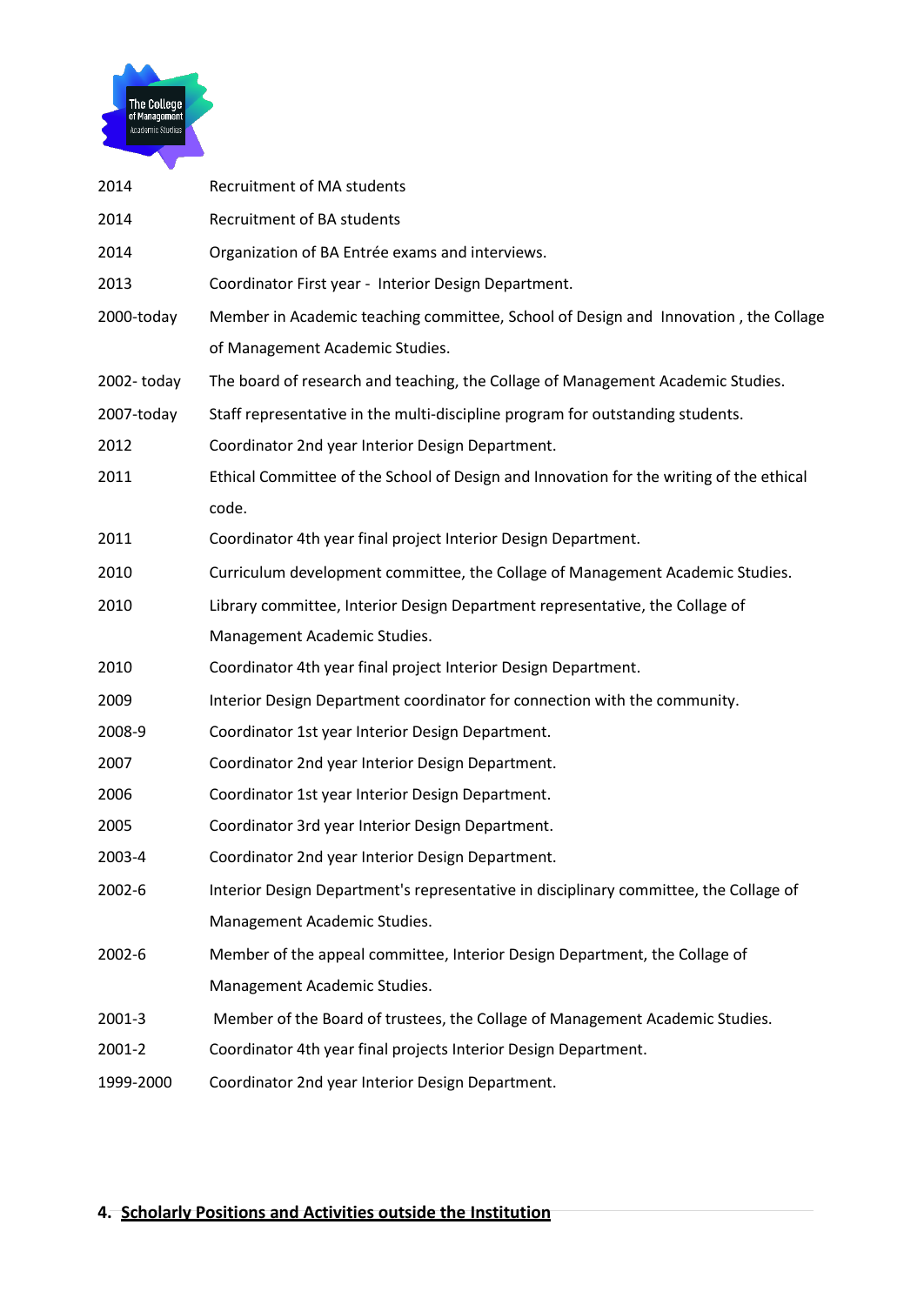

| 2014       | Recruitment of MA students                                                              |
|------------|-----------------------------------------------------------------------------------------|
| 2014       | Recruitment of BA students                                                              |
| 2014       | Organization of BA Entrée exams and interviews.                                         |
| 2013       | Coordinator First year - Interior Design Department.                                    |
| 2000-today | Member in Academic teaching committee, School of Design and Innovation, the Collage     |
|            | of Management Academic Studies.                                                         |
| 2002-today | The board of research and teaching, the Collage of Management Academic Studies.         |
| 2007-today | Staff representative in the multi-discipline program for outstanding students.          |
| 2012       | Coordinator 2nd year Interior Design Department.                                        |
| 2011       | Ethical Committee of the School of Design and Innovation for the writing of the ethical |
|            | code.                                                                                   |
| 2011       | Coordinator 4th year final project Interior Design Department.                          |
| 2010       | Curriculum development committee, the Collage of Management Academic Studies.           |
| 2010       | Library committee, Interior Design Department representative, the Collage of            |
|            | Management Academic Studies.                                                            |
| 2010       | Coordinator 4th year final project Interior Design Department.                          |
| 2009       | Interior Design Department coordinator for connection with the community.               |
| 2008-9     | Coordinator 1st year Interior Design Department.                                        |
| 2007       | Coordinator 2nd year Interior Design Department.                                        |
| 2006       | Coordinator 1st year Interior Design Department.                                        |
| 2005       | Coordinator 3rd year Interior Design Department.                                        |
| 2003-4     | Coordinator 2nd year Interior Design Department.                                        |
| 2002-6     | Interior Design Department's representative in disciplinary committee, the Collage of   |
|            | Management Academic Studies.                                                            |
| 2002-6     | Member of the appeal committee, Interior Design Department, the Collage of              |
|            | Management Academic Studies.                                                            |
| 2001-3     | Member of the Board of trustees, the Collage of Management Academic Studies.            |
| 2001-2     | Coordinator 4th year final projects Interior Design Department.                         |
| 1999-2000  | Coordinator 2nd year Interior Design Department.                                        |
|            |                                                                                         |

## **4. Scholarly Positions and Activities outside the Institution**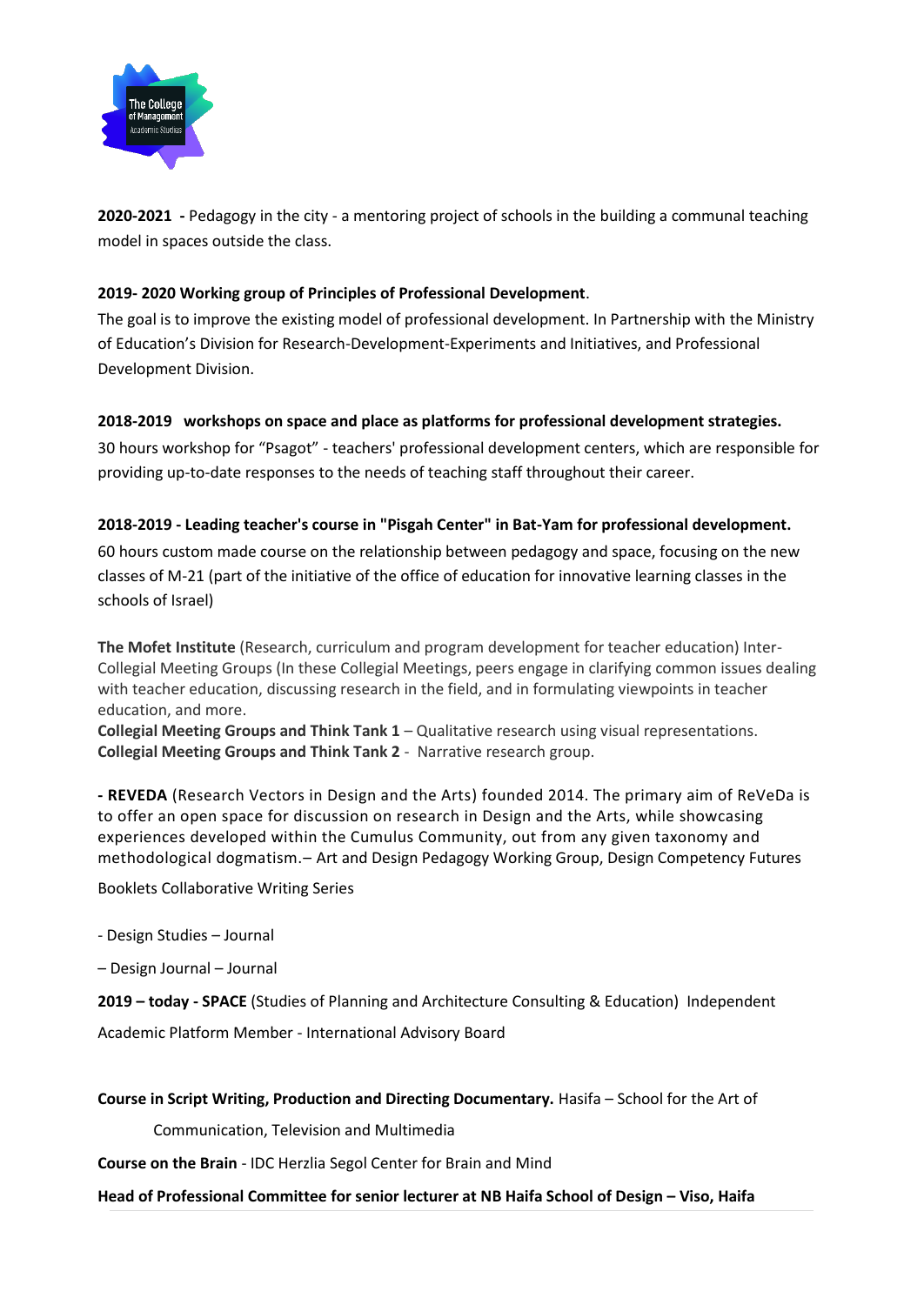

**2020-2021 -** Pedagogy in the city - a mentoring project of schools in the building a communal teaching model in spaces outside the class.

#### **2019- 2020 Working group of Principles of Professional Development**.

The goal is to improve the existing model of professional development. In Partnership with the Ministry of Education's Division for Research-Development-Experiments and Initiatives, and Professional Development Division.

#### **2018-2019 workshops on space and place as platforms for professional development strategies.**

30 hours workshop for "Psagot" - teachers' professional development centers, which are responsible for providing up-to-date responses to the needs of teaching staff throughout their career.

#### **2018-2019 - Leading teacher's course in "Pisgah Center" in Bat-Yam for professional development.**

60 hours custom made course on the relationship between pedagogy and space, focusing on the new classes of M-21 (part of the initiative of the office of education for innovative learning classes in the schools of Israel)

**The Mofet Institute** (Research, curriculum and program development for teacher education) Inter-Collegial Meeting Groups (In these Collegial Meetings, peers engage in clarifying common issues dealing with teacher education, discussing research in the field, and in formulating viewpoints in teacher education, and more.

**Collegial Meeting Groups and Think Tank 1** – Qualitative research using visual representations. **Collegial Meeting Groups and Think Tank 2** - Narrative research group.

**- REVEDA** (Research Vectors in Design and the Arts) founded 2014. The primary aim of ReVeDa is to offer an open space for discussion on research in Design and the Arts, while showcasing experiences developed within the Cumulus Community, out from any given taxonomy and methodological dogmatism.– Art and Design Pedagogy Working Group, Design Competency Futures

Booklets Collaborative Writing Series

- Design Studies – Journal

– Design Journal – Journal

**2019 – today - SPACE** (Studies of Planning and Architecture Consulting & Education) Independent

Academic Platform Member - International Advisory Board

**Course in Script Writing, Production and Directing Documentary.** Hasifa – School for the Art of

Communication, Television and Multimedia

**Course on the Brain** - IDC Herzlia Segol Center for Brain and Mind

#### **Head of Professional Committee for senior lecturer at NB Haifa School of Design – Viso, Haifa**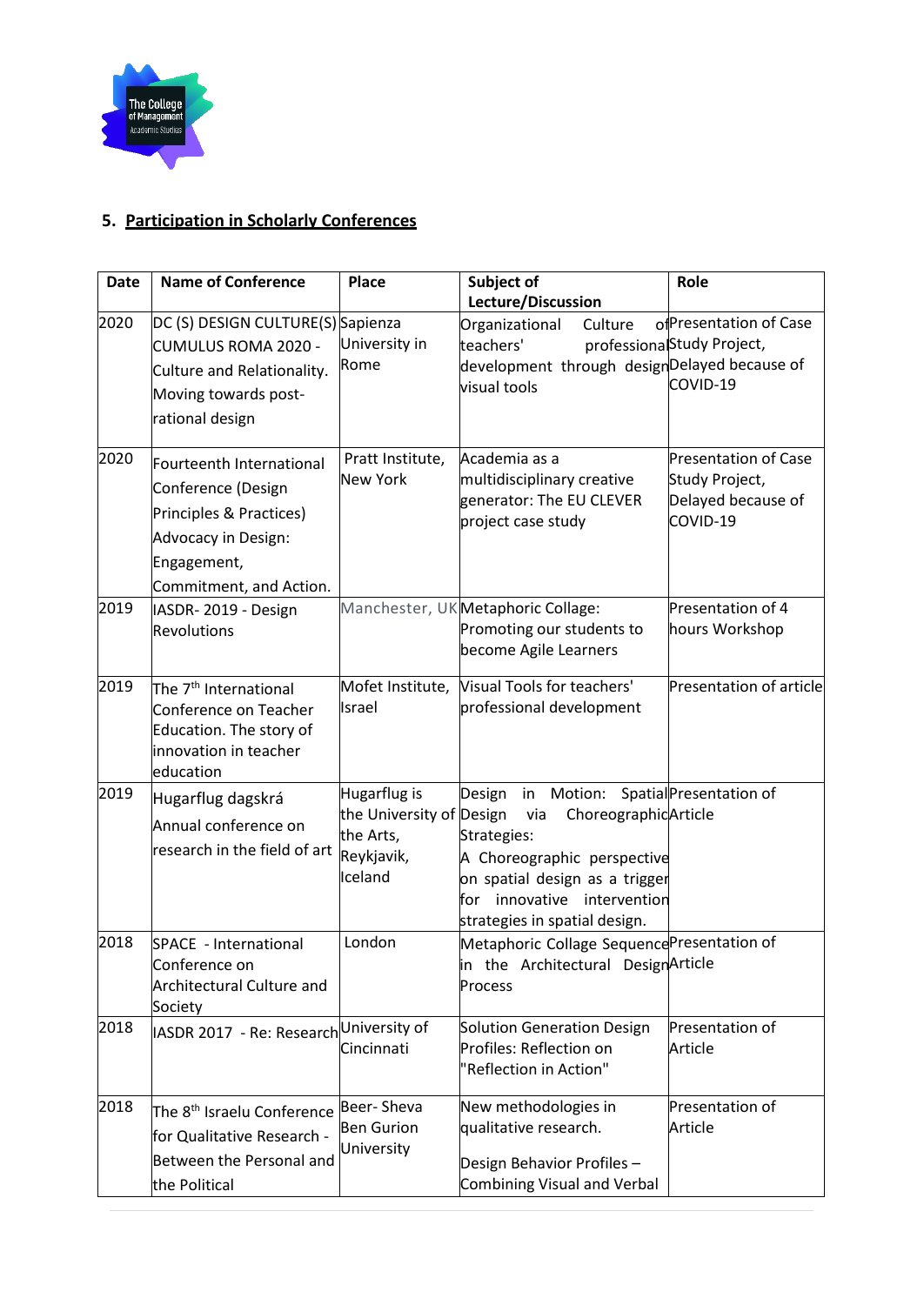

## **5. Participation in Scholarly Conferences**

| <b>Date</b> | <b>Name of Conference</b>                                                                                                                  | <b>Place</b>                                                                   | Subject of<br>Lecture/Discussion                                                                                                                                                                       | Role                                                                            |
|-------------|--------------------------------------------------------------------------------------------------------------------------------------------|--------------------------------------------------------------------------------|--------------------------------------------------------------------------------------------------------------------------------------------------------------------------------------------------------|---------------------------------------------------------------------------------|
| 2020        | DC (S) DESIGN CULTURE(S) Sapienza<br>CUMULUS ROMA 2020 -<br>Culture and Relationality.<br>Moving towards post-<br>rational design          | University in<br>Rome                                                          | Organizational<br>Culture<br>teachers'<br>development through designDelayed because of<br>visual tools                                                                                                 | ofPresentation of Case<br>professionalStudy Project,<br>COVID-19                |
| 2020        | Fourteenth International<br>Conference (Design<br>Principles & Practices)<br>Advocacy in Design:<br>Engagement,<br>Commitment, and Action. | Pratt Institute,<br><b>New York</b>                                            | Academia as a<br>multidisciplinary creative<br>generator: The EU CLEVER<br>project case study                                                                                                          | <b>Presentation of Case</b><br>Study Project,<br>Delayed because of<br>COVID-19 |
| 2019        | IASDR-2019 - Design<br><b>Revolutions</b>                                                                                                  |                                                                                | Manchester, UK Metaphoric Collage:<br>Promoting our students to<br>become Agile Learners                                                                                                               | Presentation of 4<br>hours Workshop                                             |
| 2019        | The 7 <sup>th</sup> International<br>Conference on Teacher<br>Education. The story of<br>innovation in teacher<br>education                | Mofet Institute,<br>Israel                                                     | Visual Tools for teachers'<br>professional development                                                                                                                                                 | Presentation of article                                                         |
| 2019        | Hugarflug dagskrá<br>Annual conference on<br>research in the field of art                                                                  | Hugarflug is<br>the University of Design<br>the Arts,<br>Reykjavik,<br>Iceland | Motion:<br>Design<br>in<br>ChoreographicArticle<br>via<br>Strategies:<br>A Choreographic perspective<br>on spatial design as a trigger<br>for innovative intervention<br>strategies in spatial design. | Spatial Presentation of                                                         |
| 2018        | SPACE - International<br>Conference on<br><b>Architectural Culture and</b><br>Society                                                      | London                                                                         | Metaphoric Collage Sequence Presentation of<br>in the Architectural DesignArticle<br>Process                                                                                                           |                                                                                 |
| 2018        | IASDR 2017  - Re: Research $^{\mid}$ University of                                                                                         | Cincinnati                                                                     | Solution Generation Design<br>Profiles: Reflection on<br>"Reflection in Action"                                                                                                                        | Presentation of<br>Article                                                      |
| 2018        | The 8 <sup>th</sup> Israelu Conference<br>for Qualitative Research -<br>Between the Personal and<br>the Political                          | Beer-Sheva<br><b>Ben Gurion</b><br>University                                  | New methodologies in<br>qualitative research.<br>Design Behavior Profiles -<br>Combining Visual and Verbal                                                                                             | Presentation of<br>Article                                                      |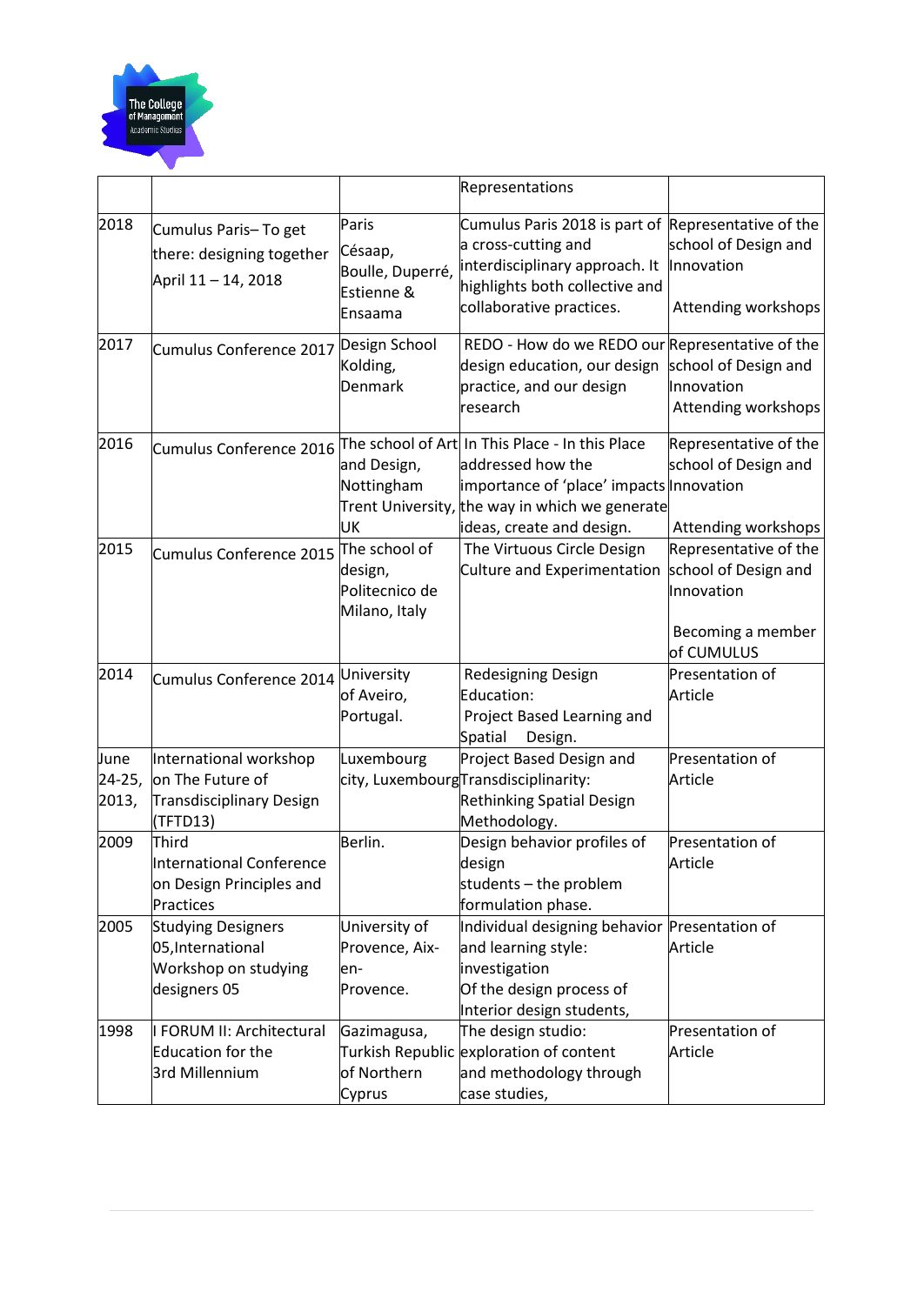

|                 |                                                                                        |                                                               | Representations                                                                                                                                                                                 |                                                                                                |
|-----------------|----------------------------------------------------------------------------------------|---------------------------------------------------------------|-------------------------------------------------------------------------------------------------------------------------------------------------------------------------------------------------|------------------------------------------------------------------------------------------------|
| 2018            | Cumulus Paris-To get<br>there: designing together<br>April 11 - 14, 2018               | Paris<br>Césaap,<br>Boulle, Duperré,<br>Estienne &<br>Ensaama | Cumulus Paris 2018 is part of<br>a cross-cutting and<br>interdisciplinary approach. It<br>highlights both collective and<br>collaborative practices.                                            | Representative of the<br>school of Design and<br>Innovation<br>Attending workshops             |
| 2017            | Cumulus Conference 2017                                                                | Design School<br>Kolding,<br>Denmark                          | REDO - How do we REDO our Representative of the<br>design education, our design<br>practice, and our design<br>research                                                                         | school of Design and<br>Innovation<br>Attending workshops                                      |
| 2016            | Cumulus Conference 2016                                                                | and Design,<br>Nottingham<br>UK                               | The school of Art In This Place - In this Place<br>addressed how the<br>importance of 'place' impacts Innovation<br>Trent University, the way in which we generate<br>ideas, create and design. | Representative of the<br>school of Design and<br>Attending workshops                           |
| 2015            | Cumulus Conference 2015                                                                | The school of<br>design,<br>Politecnico de<br>Milano, Italy   | The Virtuous Circle Design<br>Culture and Experimentation                                                                                                                                       | Representative of the<br>school of Design and<br>Innovation<br>Becoming a member<br>of CUMULUS |
| 2014            | Cumulus Conference 2014                                                                | University<br>of Aveiro,<br>Portugal.                         | Redesigning Design<br>Education:<br>Project Based Learning and<br>Spatial<br>Design.                                                                                                            | Presentation of<br>Article                                                                     |
| June            | International workshop                                                                 | Luxembourg                                                    | Project Based Design and                                                                                                                                                                        | Presentation of                                                                                |
| 24-25,<br>2013, | on The Future of<br>Transdisciplinary Design<br>(TFTD13)                               |                                                               | city, LuxembourgTransdisciplinarity:<br>Rethinking Spatial Design<br>Methodology.                                                                                                               | Article                                                                                        |
| 2009            | Third<br>International Conference<br>on Design Principles and<br>Practices             | Berlin.                                                       | Design behavior profiles of<br>design<br>students - the problem<br>formulation phase.                                                                                                           | Presentation of<br>Article                                                                     |
| 2005            | <b>Studying Designers</b><br>05, International<br>Workshop on studying<br>designers 05 | University of<br>Provence, Aix-<br>en-<br>Provence.           | Individual designing behavior Presentation of<br>and learning style:<br>investigation<br>Of the design process of<br>Interior design students,                                                  | Article                                                                                        |
| 1998            | <b>I FORUM II: Architectural</b><br>Education for the<br>3rd Millennium                | Gazimagusa,<br>of Northern<br>Cyprus                          | The design studio:<br>Turkish Republic exploration of content<br>and methodology through<br>case studies,                                                                                       | Presentation of<br>Article                                                                     |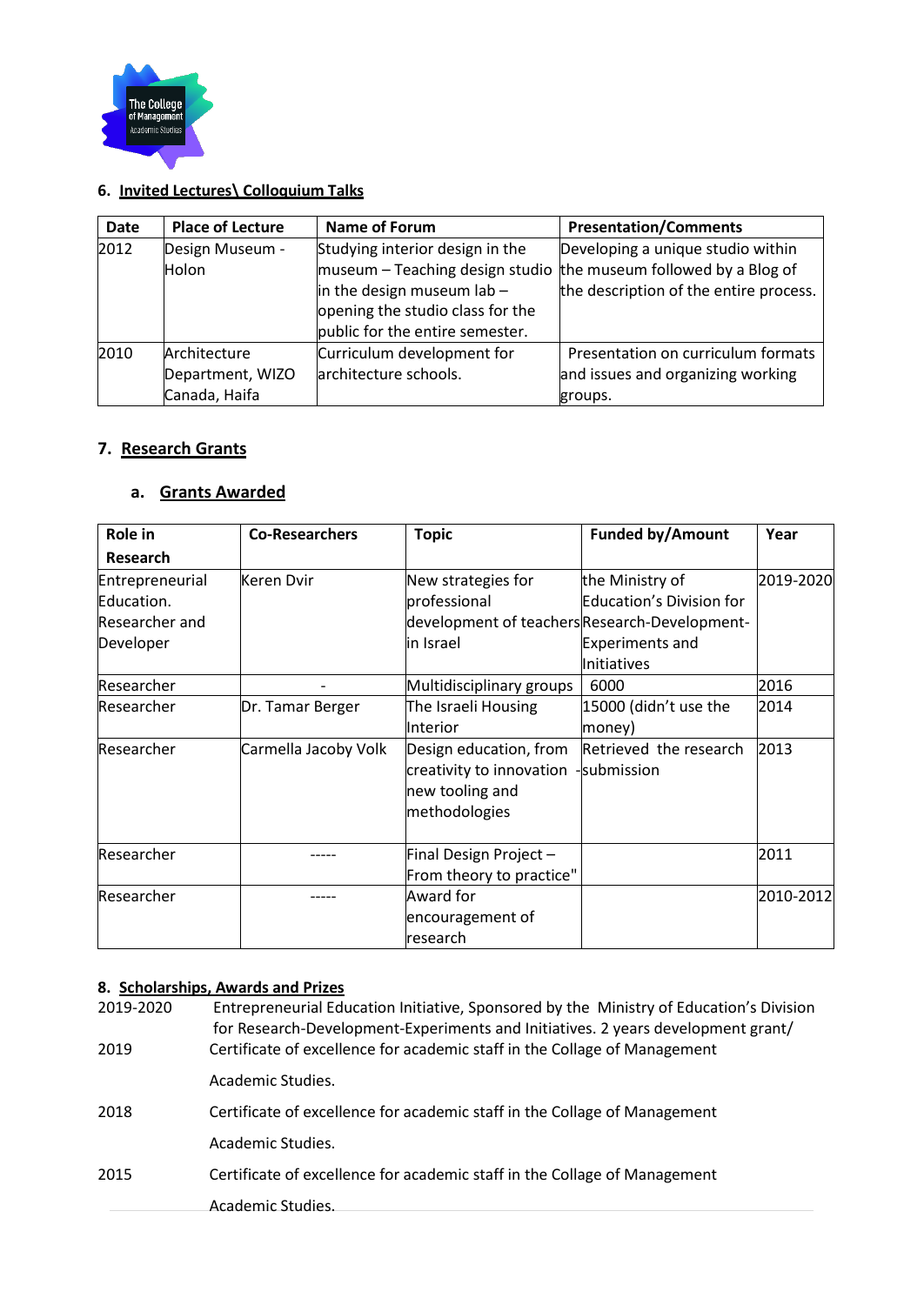

## **6. Invited Lectures\ Colloquium Talks**

| <b>Date</b> | <b>Place of Lecture</b>                           | <b>Name of Forum</b>                                                                                                                   | <b>Presentation/Comments</b>                                                                                                                        |
|-------------|---------------------------------------------------|----------------------------------------------------------------------------------------------------------------------------------------|-----------------------------------------------------------------------------------------------------------------------------------------------------|
| 2012        | Design Museum -<br><b>Holon</b>                   | Studying interior design in the<br>in the design museum $lab -$<br>opening the studio class for the<br>public for the entire semester. | Developing a unique studio within<br>$m$ museum – Teaching design studio the museum followed by a Blog of<br>the description of the entire process. |
| 2010        | Architecture<br>Department, WIZO<br>Canada, Haifa | Curriculum development for<br>architecture schools.                                                                                    | Presentation on curriculum formats<br>and issues and organizing working<br>groups.                                                                  |

## **7. Research Grants**

## **a. Grants Awarded**

| Role in         | <b>Co-Researchers</b> | <b>Topic</b>                                  | <b>Funded by/Amount</b>  | Year      |
|-----------------|-----------------------|-----------------------------------------------|--------------------------|-----------|
| Research        |                       |                                               |                          |           |
| Entrepreneurial | Keren Dvir            | New strategies for                            | the Ministry of          | 2019-2020 |
| Education.      |                       | professional                                  | Education's Division for |           |
| Researcher and  |                       | development of teachers Research-Development- |                          |           |
| Developer       |                       | in Israel                                     | <b>Experiments and</b>   |           |
|                 |                       |                                               | Initiatives              |           |
| Researcher      |                       | Multidisciplinary groups                      | 6000                     | 2016      |
| Researcher      | Dr. Tamar Berger      | The Israeli Housing                           | 15000 (didn't use the    | 2014      |
|                 |                       | <b>Interior</b>                               | money)                   |           |
| Researcher      | Carmella Jacoby Volk  | Design education, from                        | Retrieved the research   | 2013      |
|                 |                       | creativity to innovation -submission          |                          |           |
|                 |                       | new tooling and                               |                          |           |
|                 |                       | methodologies                                 |                          |           |
| Researcher      |                       | Final Design Project-                         |                          | 2011      |
|                 |                       | From theory to practice"                      |                          |           |
| Researcher      |                       | Award for                                     |                          | 2010-2012 |
|                 |                       | encouragement of                              |                          |           |
|                 |                       | research                                      |                          |           |

#### **8. Scholarships, Awards and Prizes**

| 2019-2020<br>2019 | Entrepreneurial Education Initiative, Sponsored by the Ministry of Education's Division<br>for Research-Development-Experiments and Initiatives. 2 years development grant/<br>Certificate of excellence for academic staff in the Collage of Management |  |  |
|-------------------|----------------------------------------------------------------------------------------------------------------------------------------------------------------------------------------------------------------------------------------------------------|--|--|
|                   | Academic Studies.                                                                                                                                                                                                                                        |  |  |
| 2018              | Certificate of excellence for academic staff in the Collage of Management                                                                                                                                                                                |  |  |
|                   | Academic Studies.                                                                                                                                                                                                                                        |  |  |
| 2015              | Certificate of excellence for academic staff in the Collage of Management                                                                                                                                                                                |  |  |
|                   | Academic Studies.                                                                                                                                                                                                                                        |  |  |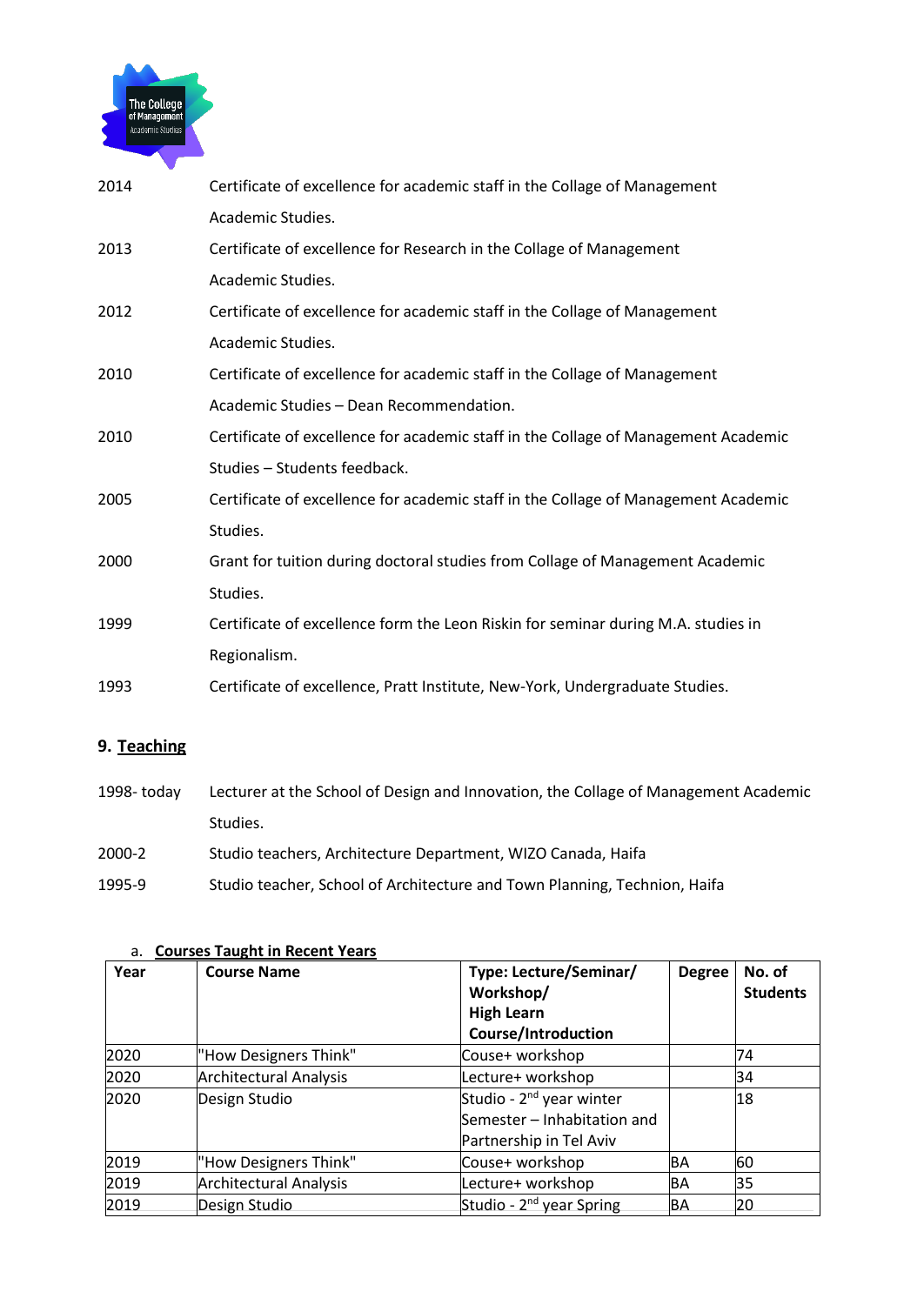

| 2014 | Certificate of excellence for academic staff in the Collage of Management          |
|------|------------------------------------------------------------------------------------|
|      | Academic Studies.                                                                  |
| 2013 | Certificate of excellence for Research in the Collage of Management                |
|      | Academic Studies.                                                                  |
| 2012 | Certificate of excellence for academic staff in the Collage of Management          |
|      | Academic Studies.                                                                  |
| 2010 | Certificate of excellence for academic staff in the Collage of Management          |
|      | Academic Studies - Dean Recommendation.                                            |
| 2010 | Certificate of excellence for academic staff in the Collage of Management Academic |
|      | Studies - Students feedback.                                                       |
| 2005 | Certificate of excellence for academic staff in the Collage of Management Academic |
|      | Studies.                                                                           |
| 2000 | Grant for tuition during doctoral studies from Collage of Management Academic      |
|      | Studies.                                                                           |
| 1999 | Certificate of excellence form the Leon Riskin for seminar during M.A. studies in  |
|      | Regionalism.                                                                       |
| 1993 | Certificate of excellence, Pratt Institute, New-York, Undergraduate Studies.       |
|      |                                                                                    |

## **9. Teaching**

| 1998- todav | Lecturer at the School of Design and Innovation, the Collage of Management Academic |  |  |
|-------------|-------------------------------------------------------------------------------------|--|--|
|             | Studies.                                                                            |  |  |
| 2000-2      | Studio teachers, Architecture Department, WIZO Canada, Haifa                        |  |  |
| 1995-9      | Studio teacher, School of Architecture and Town Planning, Technion, Haifa           |  |  |

| Year | <b>Course Name</b>            | Type: Lecture/Seminar/<br>Workshop/<br><b>High Learn</b><br><b>Course/Introduction</b>         | <b>Degree</b> | No. of<br><b>Students</b> |
|------|-------------------------------|------------------------------------------------------------------------------------------------|---------------|---------------------------|
| 2020 | "How Designers Think"         | Couse+ workshop                                                                                |               | 74                        |
| 2020 | <b>Architectural Analysis</b> | Lecture+ workshop                                                                              |               | 34                        |
| 2020 | Design Studio                 | Studio - 2 <sup>nd</sup> year winter<br>Semester - Inhabitation and<br>Partnership in Tel Aviv |               | 18                        |
| 2019 | "How Designers Think"         | Couse+ workshop                                                                                | BA            | 60                        |
| 2019 | <b>Architectural Analysis</b> | Lecture+ workshop                                                                              | BA            | 35                        |
| 2019 | Design Studio                 | Studio - 2 <sup>nd</sup> year Spring                                                           | ΒA            | 20                        |

#### a. **Courses Taught in Recent Years**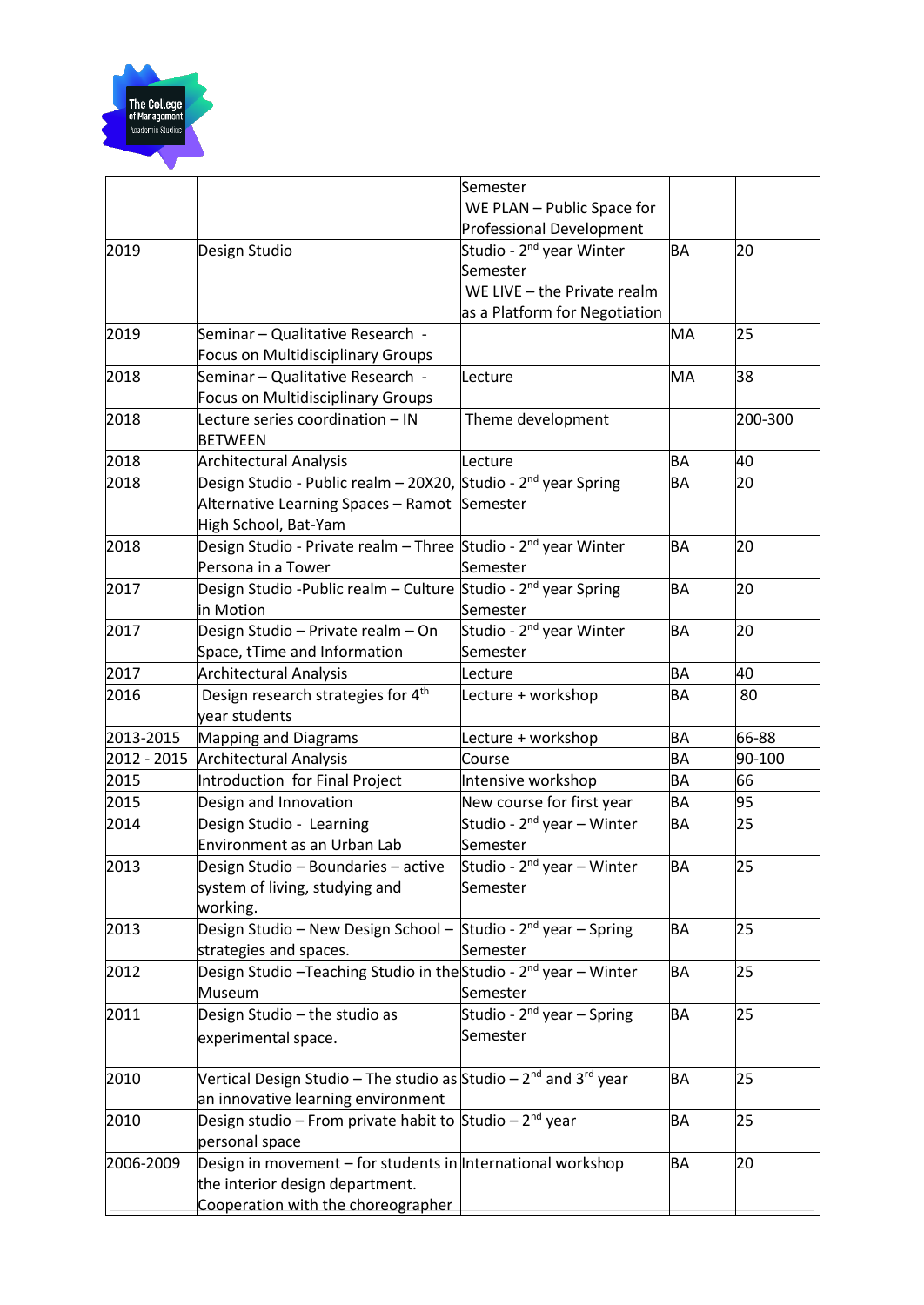

|             |                                                                                          | Semester                                                            |           |         |
|-------------|------------------------------------------------------------------------------------------|---------------------------------------------------------------------|-----------|---------|
|             |                                                                                          | WE PLAN - Public Space for                                          |           |         |
|             |                                                                                          | <b>Professional Development</b>                                     |           |         |
| 2019        | Design Studio                                                                            | Studio - 2 <sup>nd</sup> year Winter                                | <b>BA</b> | 20      |
|             |                                                                                          | Semester                                                            |           |         |
|             |                                                                                          | WE LIVE - the Private realm                                         |           |         |
|             |                                                                                          | as a Platform for Negotiation                                       |           |         |
| 2019        | Seminar – Qualitative Research -                                                         |                                                                     | MA        | 25      |
|             | <b>Focus on Multidisciplinary Groups</b>                                                 |                                                                     |           |         |
| 2018        | Seminar – Qualitative Research -                                                         | Lecture                                                             | MA        | 38      |
|             | <b>Focus on Multidisciplinary Groups</b>                                                 |                                                                     |           |         |
| 2018        | Lecture series coordination - IN                                                         | Theme development                                                   |           | 200-300 |
|             | <b>BETWEEN</b>                                                                           |                                                                     |           |         |
| 2018        | <b>Architectural Analysis</b>                                                            | Lecture                                                             | <b>BA</b> | 40      |
| 2018        | Design Studio - Public realm – 20X20, Studio - 2 <sup>nd</sup> year Spring               |                                                                     | <b>BA</b> | 20      |
|             | Alternative Learning Spaces - Ramot Semester                                             |                                                                     |           |         |
|             | High School, Bat-Yam                                                                     |                                                                     |           |         |
| 2018        | Design Studio - Private realm – Three Studio - 2 <sup>nd</sup> year Winter               |                                                                     | <b>BA</b> | 20      |
|             | Persona in a Tower                                                                       | Semester                                                            |           |         |
| 2017        | Design Studio -Public realm – Culture Studio - 2 <sup>nd</sup> year Spring               |                                                                     | <b>BA</b> | 20      |
|             | in Motion                                                                                | Semester                                                            |           |         |
| 2017        | Design Studio - Private realm - On                                                       | Studio - 2 <sup>nd</sup> year Winter                                | <b>BA</b> | 20      |
|             | Space, tTime and Information                                                             | Semester                                                            |           |         |
| 2017        | <b>Architectural Analysis</b>                                                            | Lecture                                                             | <b>BA</b> | 40      |
| 2016        | Design research strategies for 4 <sup>th</sup>                                           | Lecture + workshop                                                  | BA        | 80      |
| 2013-2015   | year students                                                                            |                                                                     | <b>BA</b> | 66-88   |
| 2012 - 2015 | <b>Mapping and Diagrams</b>                                                              | Lecture + workshop<br>Course                                        | BA        | 90-100  |
| 2015        | <b>Architectural Analysis</b>                                                            |                                                                     | BA        | 66      |
| 2015        | Introduction for Final Project<br>Design and Innovation                                  | Intensive workshop                                                  | BA        | 95      |
| 2014        | Design Studio - Learning                                                                 | New course for first year<br>Studio - 2 <sup>nd</sup> year – Winter | <b>BA</b> | 25      |
|             | Environment as an Urban Lab                                                              | Semester                                                            |           |         |
| 2013        | Design Studio – Boundaries – active                                                      | Studio - 2 <sup>nd</sup> year – Winter                              | <b>BA</b> | 25      |
|             | system of living, studying and                                                           | Semester                                                            |           |         |
|             | working.                                                                                 |                                                                     |           |         |
| 2013        | Design Studio - New Design School -                                                      | Studio - $2^{nd}$ year – Spring                                     | <b>BA</b> | 25      |
|             | strategies and spaces.                                                                   | Semester                                                            |           |         |
| 2012        | Design Studio - Teaching Studio in the Studio - 2 <sup>nd</sup> year - Winter            |                                                                     | <b>BA</b> | 25      |
|             | Museum                                                                                   | Semester                                                            |           |         |
| 2011        | Design Studio - the studio as                                                            | Studio - $2^{nd}$ year – Spring                                     | BA        | 25      |
|             | experimental space.                                                                      | Semester                                                            |           |         |
|             |                                                                                          |                                                                     |           |         |
| 2010        | Vertical Design Studio – The studio as Studio – 2 <sup>nd</sup> and 3 <sup>rd</sup> year |                                                                     | <b>BA</b> | 25      |
|             | an innovative learning environment                                                       |                                                                     |           |         |
| 2010        | Design studio – From private habit to Studio – 2 <sup>nd</sup> year                      |                                                                     | <b>BA</b> | 25      |
|             | personal space                                                                           |                                                                     |           |         |
| 2006-2009   | Design in movement – for students in International workshop                              |                                                                     | BA        | 20      |
|             | the interior design department.                                                          |                                                                     |           |         |
|             | Cooperation with the choreographer                                                       |                                                                     |           |         |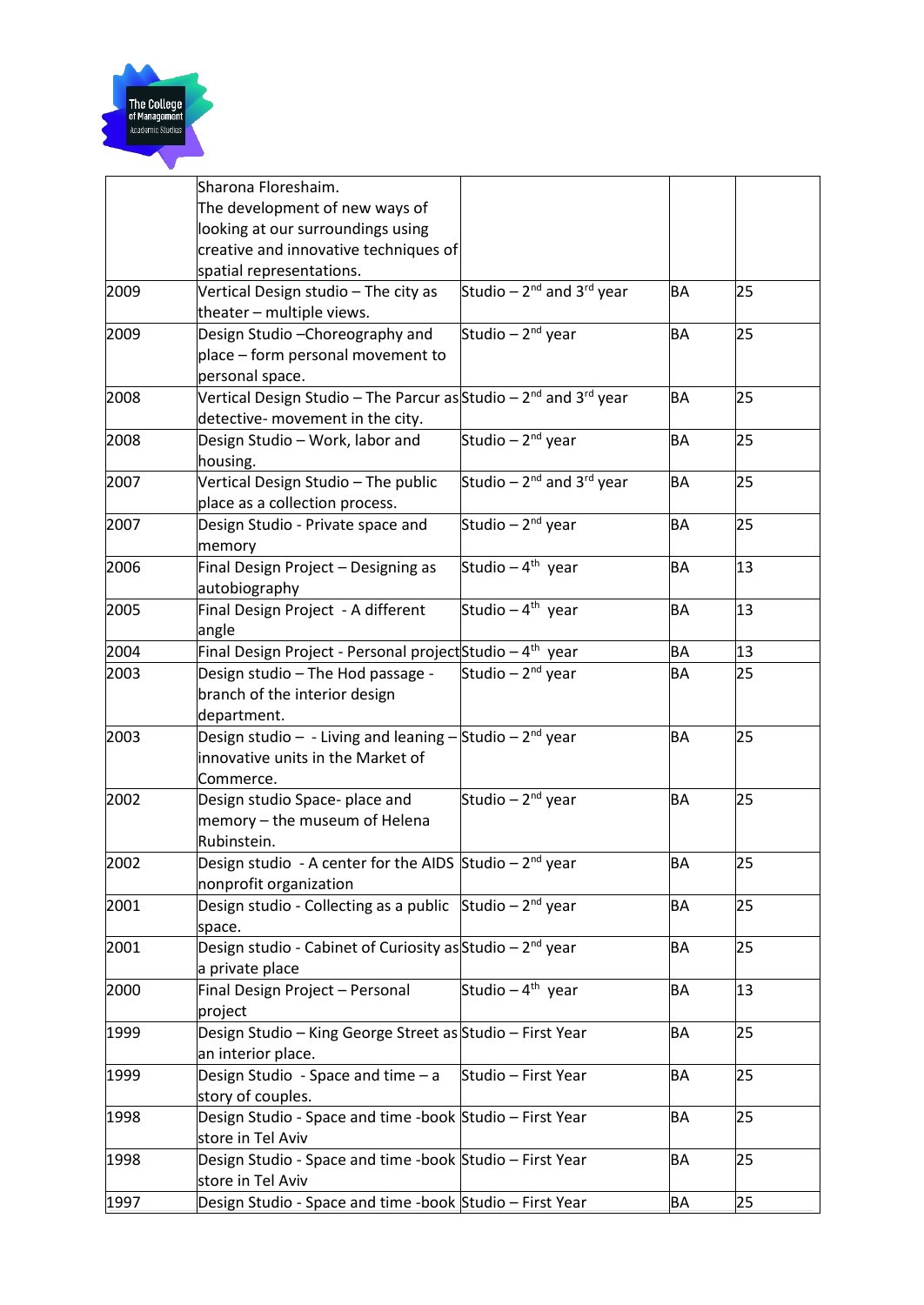

|      | Sharona Floreshaim.                                                                      |                                     |           |    |
|------|------------------------------------------------------------------------------------------|-------------------------------------|-----------|----|
|      | The development of new ways of                                                           |                                     |           |    |
|      | looking at our surroundings using                                                        |                                     |           |    |
|      | creative and innovative techniques of                                                    |                                     |           |    |
|      | spatial representations.                                                                 |                                     |           |    |
| 2009 | Vertical Design studio - The city as                                                     | Studio - $2^{nd}$ and $3^{rd}$ year | <b>BA</b> | 25 |
|      | theater - multiple views.                                                                |                                     |           |    |
| 2009 | Design Studio - Choreography and                                                         | Studio - 2 <sup>nd</sup> year       | BA        | 25 |
|      | place - form personal movement to                                                        |                                     |           |    |
|      | personal space.                                                                          |                                     |           |    |
| 2008 | Vertical Design Studio – The Parcur as Studio – 2 <sup>nd</sup> and 3 <sup>rd</sup> year |                                     | <b>BA</b> | 25 |
|      | detective- movement in the city.                                                         |                                     |           |    |
| 2008 | Design Studio - Work, labor and                                                          | Studio - $2^{nd}$ year              | <b>BA</b> | 25 |
|      | housing.                                                                                 |                                     |           |    |
| 2007 | Vertical Design Studio - The public                                                      | Studio - $2^{nd}$ and $3^{rd}$ year | <b>BA</b> | 25 |
|      | place as a collection process.                                                           |                                     |           |    |
| 2007 | Design Studio - Private space and                                                        | Studio - 2 <sup>nd</sup> year       | BA        | 25 |
|      | memory                                                                                   |                                     |           |    |
| 2006 | Final Design Project - Designing as                                                      | Studio - 4 <sup>th</sup> year       | <b>BA</b> | 13 |
|      | autobiography                                                                            |                                     |           |    |
| 2005 | Final Design Project - A different                                                       | Studio - $4^{th}$ year              | <b>BA</b> | 13 |
|      | angle                                                                                    |                                     |           |    |
| 2004 | Final Design Project - Personal project Studio - 4 <sup>th</sup> year                    |                                     | BA        | 13 |
| 2003 | Design studio - The Hod passage -                                                        | Studio - $2^{nd}$ year              | BA        | 25 |
|      | branch of the interior design                                                            |                                     |           |    |
|      | department.                                                                              |                                     |           |    |
| 2003 | Design studio - - Living and leaning - Studio - $2^{nd}$ year                            |                                     | BA        | 25 |
|      | innovative units in the Market of                                                        |                                     |           |    |
|      | Commerce.                                                                                |                                     |           |    |
| 2002 | Design studio Space- place and                                                           | Studio - 2 <sup>nd</sup> year       | <b>BA</b> | 25 |
|      | memory – the museum of Helena                                                            |                                     |           |    |
|      | Rubinstein.                                                                              |                                     |           |    |
| 2002 | Design studio - A center for the AIDS Studio $-2nd$ year                                 |                                     | <b>BA</b> | 25 |
|      | nonprofit organization                                                                   |                                     |           |    |
| 2001 | Design studio - Collecting as a public Studio - 2 <sup>nd</sup> year                     |                                     | <b>BA</b> | 25 |
|      | space.                                                                                   |                                     |           |    |
| 2001 | Design studio - Cabinet of Curiosity as Studio - $2^{nd}$ year                           |                                     | <b>BA</b> | 25 |
|      | a private place                                                                          |                                     |           |    |
| 2000 | Final Design Project - Personal                                                          | Studio - 4 <sup>th</sup> year       | BA        | 13 |
|      | project                                                                                  |                                     |           |    |
| 1999 | Design Studio - King George Street as Studio - First Year                                |                                     | <b>BA</b> | 25 |
|      | an interior place.                                                                       |                                     |           |    |
| 1999 | Design Studio - Space and time - a                                                       | Studio - First Year                 | <b>BA</b> | 25 |
|      | story of couples.                                                                        |                                     |           |    |
| 1998 | Design Studio - Space and time -book Studio - First Year                                 |                                     | <b>BA</b> | 25 |
|      | store in Tel Aviv                                                                        |                                     |           |    |
| 1998 | Design Studio - Space and time -book Studio - First Year                                 |                                     | BA        | 25 |
|      | store in Tel Aviv                                                                        |                                     |           |    |
| 1997 | Design Studio - Space and time -book Studio - First Year                                 |                                     | BA        | 25 |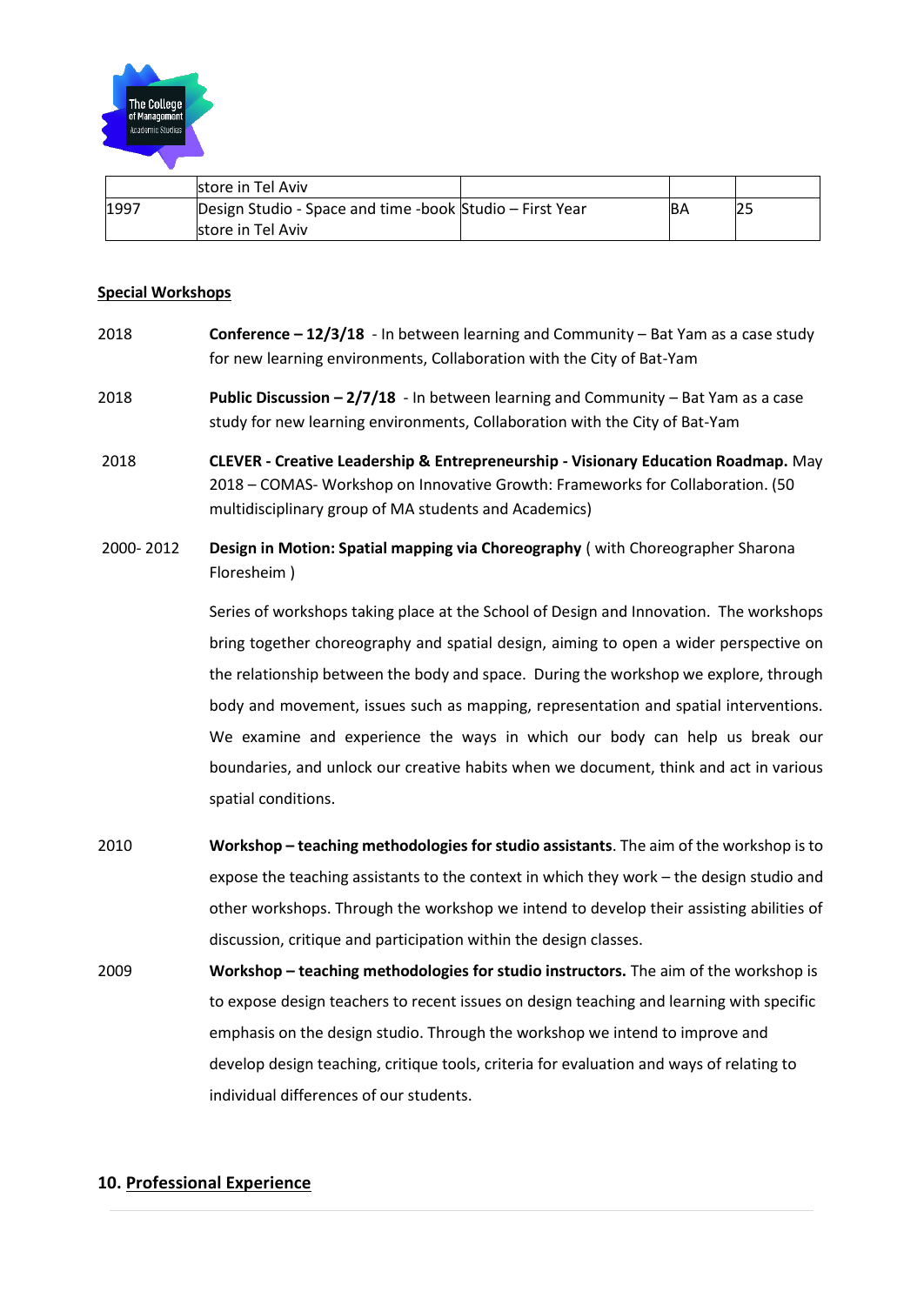

|      | store in Tel Aviv                                        |    |             |
|------|----------------------------------------------------------|----|-------------|
| 1997 | Design Studio - Space and time -book Studio – First Year | ßА | ם רי<br>ız. |
|      | store in Tel Aviv                                        |    |             |

#### **Special Workshops**

- 2018 **Conference – 12/3/18** In between learning and Community Bat Yam as a case study for new learning environments, Collaboration with the City of Bat-Yam
- 2018 **Public Discussion – 2/7/18** In between learning and Community Bat Yam as a case study for new learning environments, Collaboration with the City of Bat-Yam
- 2018 **CLEVER - Creative Leadership & Entrepreneurship - Visionary Education Roadmap.** May 2018 – COMAS- Workshop on Innovative Growth: Frameworks for Collaboration. (50 multidisciplinary group of MA students and Academics)
- 2000- 2012 **Design in Motion: Spatial mapping via Choreography** ( with Choreographer Sharona Floresheim )

Series of workshops taking place at the School of Design and Innovation. The workshops bring together choreography and spatial design, aiming to open a wider perspective on the relationship between the body and space. During the workshop we explore, through body and movement, issues such as mapping, representation and spatial interventions. We examine and experience the ways in which our body can help us break our boundaries, and unlock our creative habits when we document, think and act in various spatial conditions.

- 2010 **Workshop – teaching methodologies for studio assistants**. The aim of the workshop is to expose the teaching assistants to the context in which they work – the design studio and other workshops. Through the workshop we intend to develop their assisting abilities of discussion, critique and participation within the design classes.
- 2009 **Workshop – teaching methodologies for studio instructors.** The aim of the workshop is to expose design teachers to recent issues on design teaching and learning with specific emphasis on the design studio. Through the workshop we intend to improve and develop design teaching, critique tools, criteria for evaluation and ways of relating to individual differences of our students.

#### **10. Professional Experience**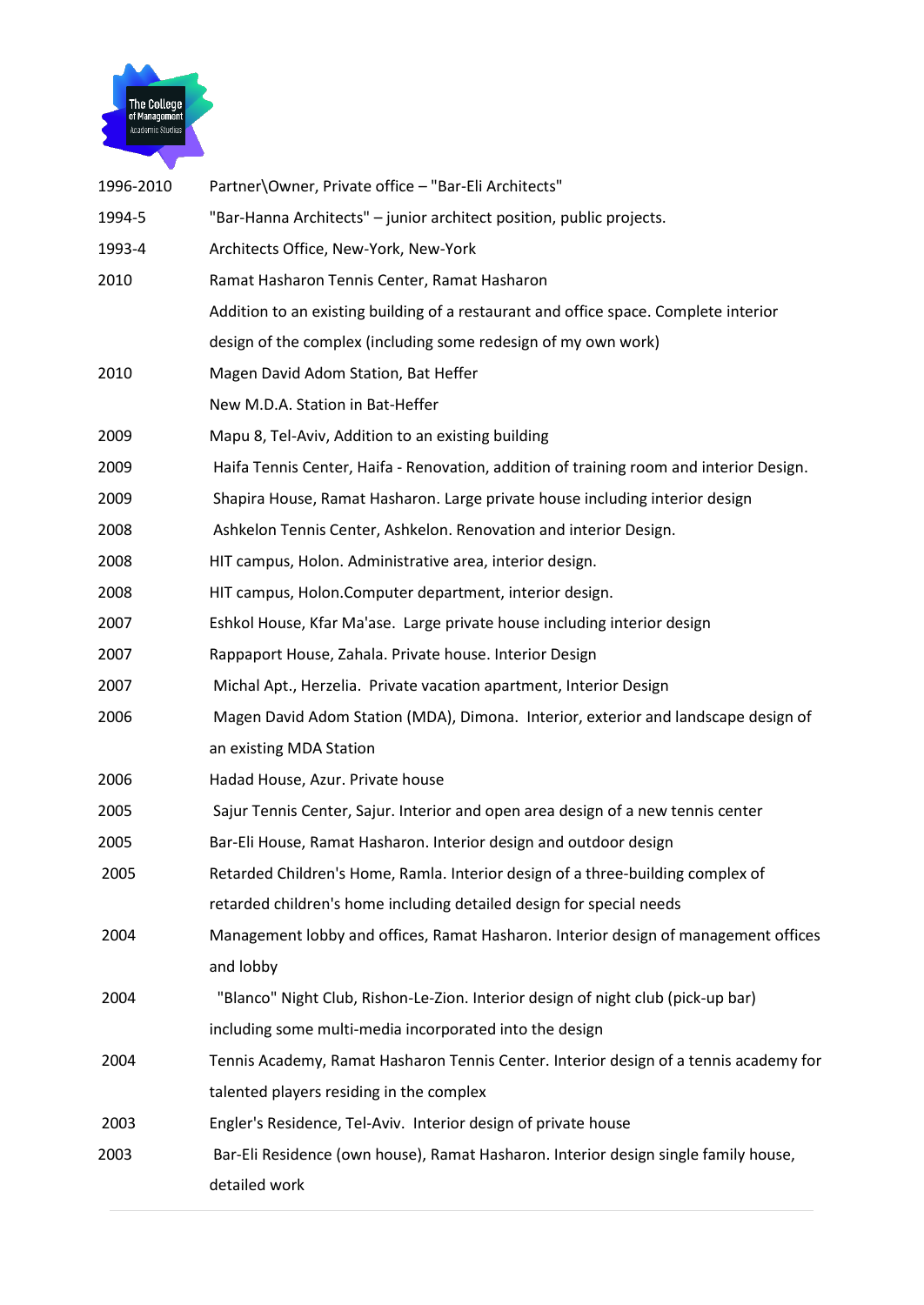

| 1996-2010 | Partner\Owner, Private office - "Bar-Eli Architects"                                    |
|-----------|-----------------------------------------------------------------------------------------|
| 1994-5    | "Bar-Hanna Architects" - junior architect position, public projects.                    |
| 1993-4    | Architects Office, New-York, New-York                                                   |
| 2010      | Ramat Hasharon Tennis Center, Ramat Hasharon                                            |
|           | Addition to an existing building of a restaurant and office space. Complete interior    |
|           | design of the complex (including some redesign of my own work)                          |
| 2010      | Magen David Adom Station, Bat Heffer                                                    |
|           | New M.D.A. Station in Bat-Heffer                                                        |
| 2009      | Mapu 8, Tel-Aviv, Addition to an existing building                                      |
| 2009      | Haifa Tennis Center, Haifa - Renovation, addition of training room and interior Design. |
| 2009      | Shapira House, Ramat Hasharon. Large private house including interior design            |
| 2008      | Ashkelon Tennis Center, Ashkelon. Renovation and interior Design.                       |
| 2008      | HIT campus, Holon. Administrative area, interior design.                                |
| 2008      | HIT campus, Holon.Computer department, interior design.                                 |
| 2007      | Eshkol House, Kfar Ma'ase. Large private house including interior design                |
| 2007      | Rappaport House, Zahala. Private house. Interior Design                                 |
| 2007      | Michal Apt., Herzelia. Private vacation apartment, Interior Design                      |
| 2006      | Magen David Adom Station (MDA), Dimona. Interior, exterior and landscape design of      |
|           | an existing MDA Station                                                                 |
| 2006      | Hadad House, Azur. Private house                                                        |
| 2005      | Sajur Tennis Center, Sajur. Interior and open area design of a new tennis center        |
| 2005      | Bar-Eli House, Ramat Hasharon. Interior design and outdoor design                       |
| 2005      | Retarded Children's Home, Ramla. Interior design of a three-building complex of         |
|           | retarded children's home including detailed design for special needs                    |
| 2004      | Management lobby and offices, Ramat Hasharon. Interior design of management offices     |
|           | and lobby                                                                               |
| 2004      | "Blanco" Night Club, Rishon-Le-Zion. Interior design of night club (pick-up bar)        |
|           | including some multi-media incorporated into the design                                 |
| 2004      | Tennis Academy, Ramat Hasharon Tennis Center. Interior design of a tennis academy for   |
|           | talented players residing in the complex                                                |
| 2003      | Engler's Residence, Tel-Aviv. Interior design of private house                          |
| 2003      | Bar-Eli Residence (own house), Ramat Hasharon. Interior design single family house,     |
|           | detailed work                                                                           |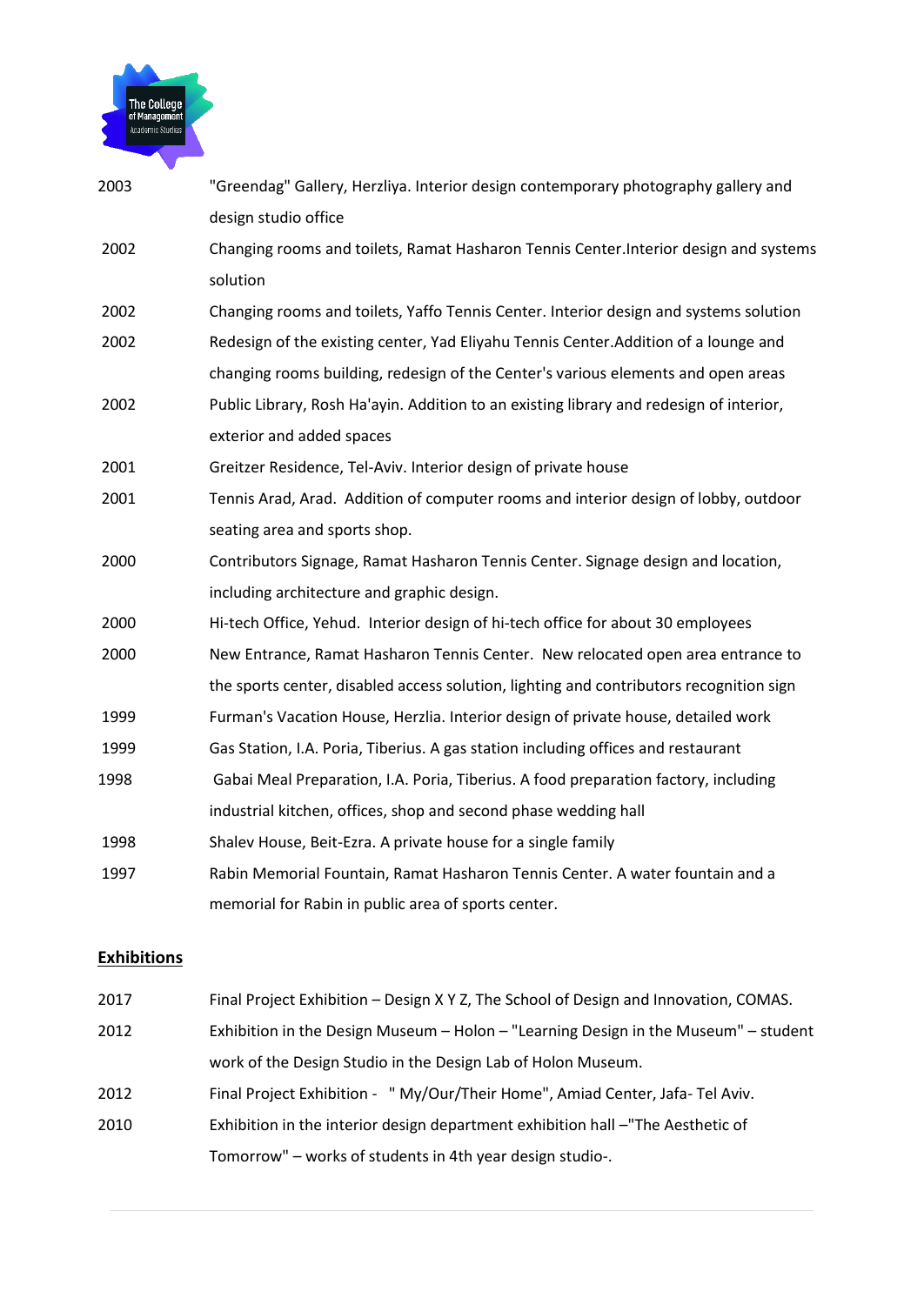

| 2003 | "Greendag" Gallery, Herzliya. Interior design contemporary photography gallery and      |
|------|-----------------------------------------------------------------------------------------|
|      | design studio office                                                                    |
| 2002 | Changing rooms and toilets, Ramat Hasharon Tennis Center. Interior design and systems   |
|      | solution                                                                                |
| 2002 | Changing rooms and toilets, Yaffo Tennis Center. Interior design and systems solution   |
| 2002 | Redesign of the existing center, Yad Eliyahu Tennis Center. Addition of a lounge and    |
|      | changing rooms building, redesign of the Center's various elements and open areas       |
| 2002 | Public Library, Rosh Ha'ayin. Addition to an existing library and redesign of interior, |
|      | exterior and added spaces                                                               |
| 2001 | Greitzer Residence, Tel-Aviv. Interior design of private house                          |
| 2001 | Tennis Arad, Arad. Addition of computer rooms and interior design of lobby, outdoor     |
|      | seating area and sports shop.                                                           |
| 2000 | Contributors Signage, Ramat Hasharon Tennis Center. Signage design and location,        |
|      | including architecture and graphic design.                                              |
| 2000 | Hi-tech Office, Yehud. Interior design of hi-tech office for about 30 employees         |
| 2000 | New Entrance, Ramat Hasharon Tennis Center. New relocated open area entrance to         |
|      | the sports center, disabled access solution, lighting and contributors recognition sign |
| 1999 | Furman's Vacation House, Herzlia. Interior design of private house, detailed work       |
| 1999 | Gas Station, I.A. Poria, Tiberius. A gas station including offices and restaurant       |
| 1998 | Gabai Meal Preparation, I.A. Poria, Tiberius. A food preparation factory, including     |
|      | industrial kitchen, offices, shop and second phase wedding hall                         |
| 1998 | Shalev House, Beit-Ezra. A private house for a single family                            |
| 1997 | Rabin Memorial Fountain, Ramat Hasharon Tennis Center. A water fountain and a           |
|      | memorial for Rabin in public area of sports center.                                     |
|      |                                                                                         |

## **Exhibitions**

| 2017 | Final Project Exhibition - Design X Y Z, The School of Design and Innovation, COMAS. |
|------|--------------------------------------------------------------------------------------|
| 2012 | Exhibition in the Design Museum - Holon - "Learning Design in the Museum" - student  |
|      | work of the Design Studio in the Design Lab of Holon Museum.                         |
| 2012 | Final Project Exhibition - " My/Our/Their Home", Amiad Center, Jafa-Tel Aviv.        |
| 2010 | Exhibition in the interior design department exhibition hall -"The Aesthetic of      |
|      | Tomorrow" – works of students in 4th year design studio-.                            |
|      |                                                                                      |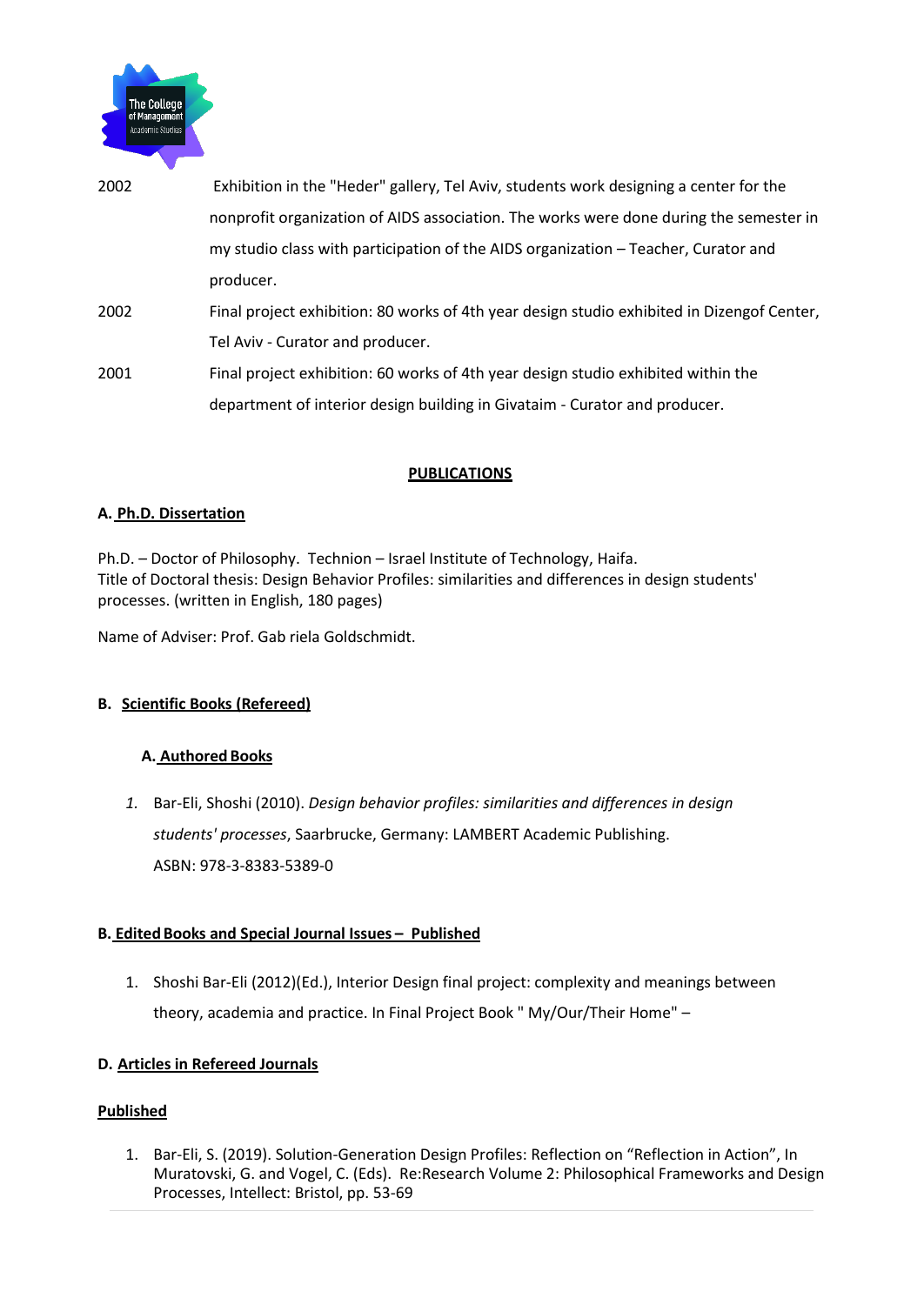

- 2002 Exhibition in the "Heder" gallery, Tel Aviv, students work designing a center for the nonprofit organization of AIDS association. The works were done during the semester in my studio class with participation of the AIDS organization – Teacher, Curator and producer. 2002 Final project exhibition: 80 works of 4th year design studio exhibited in Dizengof Center, Tel Aviv - Curator and producer.
- 2001 Final project exhibition: 60 works of 4th year design studio exhibited within the department of interior design building in Givataim - Curator and producer.

#### **PUBLICATIONS**

#### **A. Ph.D. Dissertation**

Ph.D. – Doctor of Philosophy. Technion – Israel Institute of Technology, Haifa. Title of Doctoral thesis: Design Behavior Profiles: similarities and differences in design students' processes. (written in English, 180 pages)

Name of Adviser: Prof. Gab riela Goldschmidt.

#### **B. Scientific Books (Refereed)**

#### **A. Authored Books**

*1.* Bar-Eli, Shoshi (2010). *Design behavior profiles: similarities and differences in design students' processes*, Saarbrucke, Germany: LAMBERT Academic Publishing. ASBN: 978-3-8383-5389-0

#### **B. Edited Books and Special Journal Issues – Published**

1. Shoshi Bar-Eli (2012)(Ed.), Interior Design final project: complexity and meanings between theory, academia and practice. In Final Project Book " My/Our/Their Home" –

#### **D. Articles in Refereed Journals**

#### **Published**

1. Bar-Eli, S. (2019). Solution-Generation Design Profiles: Reflection on "Reflection in Action", In Muratovski, G. and Vogel, C. (Eds). Re:Research Volume 2: Philosophical Frameworks and Design Processes, Intellect: Bristol, pp. 53-69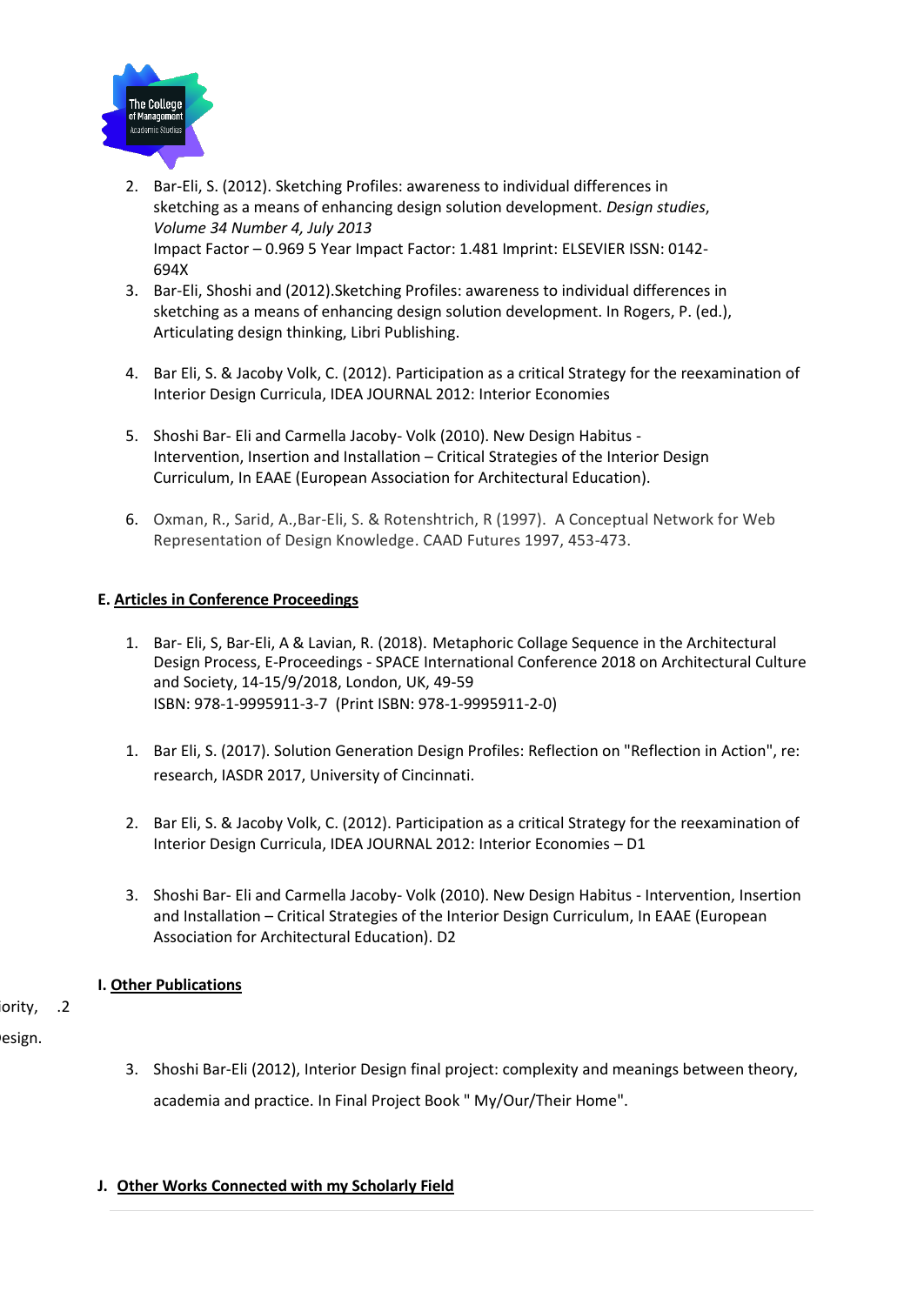

- 2. Bar-Eli, S. (2012). Sketching Profiles: awareness to individual differences in sketching as a means of enhancing design solution development. *Design studies*, *Volume 34 Number 4, July 2013* Impact Factor – 0.969 5 Year Impact Factor: 1.481 Imprint: ELSEVIER ISSN: 0142- 694X
- 3. Bar-Eli, Shoshi and (2012).Sketching Profiles: awareness to individual differences in sketching as a means of enhancing design solution development. In Rogers, P. (ed.), Articulating design thinking, Libri Publishing.
- 4. Bar Eli, S. & Jacoby Volk, C. (2012). Participation as a critical Strategy for the reexamination of Interior Design Curricula, IDEA JOURNAL 2012: Interior Economies
- 5. Shoshi Bar- Eli and Carmella Jacoby- Volk (2010). New Design Habitus Intervention, Insertion and Installation – Critical Strategies of the Interior Design Curriculum, In EAAE (European Association for Architectural Education).
- 6. Oxman, R., Sarid, A.,Bar-Eli, S. & Rotenshtrich, R (1997). A Conceptual Network for Web Representation of Design Knowledge. CAAD Futures 1997, 453-473.

#### **E. Articles in Conference Proceedings**

- 1. Bar- Eli, S, Bar-Eli, A & Lavian, R. (2018). Metaphoric Collage Sequence in the Architectural Design Process, E-Proceedings - SPACE International Conference 2018 on Architectural Culture and Society, 14-15/9/2018, London, UK, 49-59 ISBN: 978-1-9995911-3-7 (Print ISBN: 978-1-9995911-2-0)
- 1. Bar Eli, S. (2017). Solution Generation Design Profiles: Reflection on "Reflection in Action", re: research, IASDR 2017, University of Cincinnati.
- 2. Bar Eli, S. & Jacoby Volk, C. (2012). Participation as a critical Strategy for the reexamination of Interior Design Curricula, IDEA JOURNAL 2012: Interior Economies – D1
- 3. Shoshi Bar- Eli and Carmella Jacoby- Volk (2010). New Design Habitus Intervention, Insertion and Installation – Critical Strategies of the Interior Design Curriculum, In EAAE (European Association for Architectural Education). D2

## **I. Other Publications**

Shoshi Bar-Eli (2010), Interiority, Identity and Design, in Thesis Project Book – On Interiority, .2 esign.

> 3. Shoshi Bar-Eli (2012), Interior Design final project: complexity and meanings between theory, academia and practice. In Final Project Book " My/Our/Their Home".

## **J. Other Works Connected with my Scholarly Field**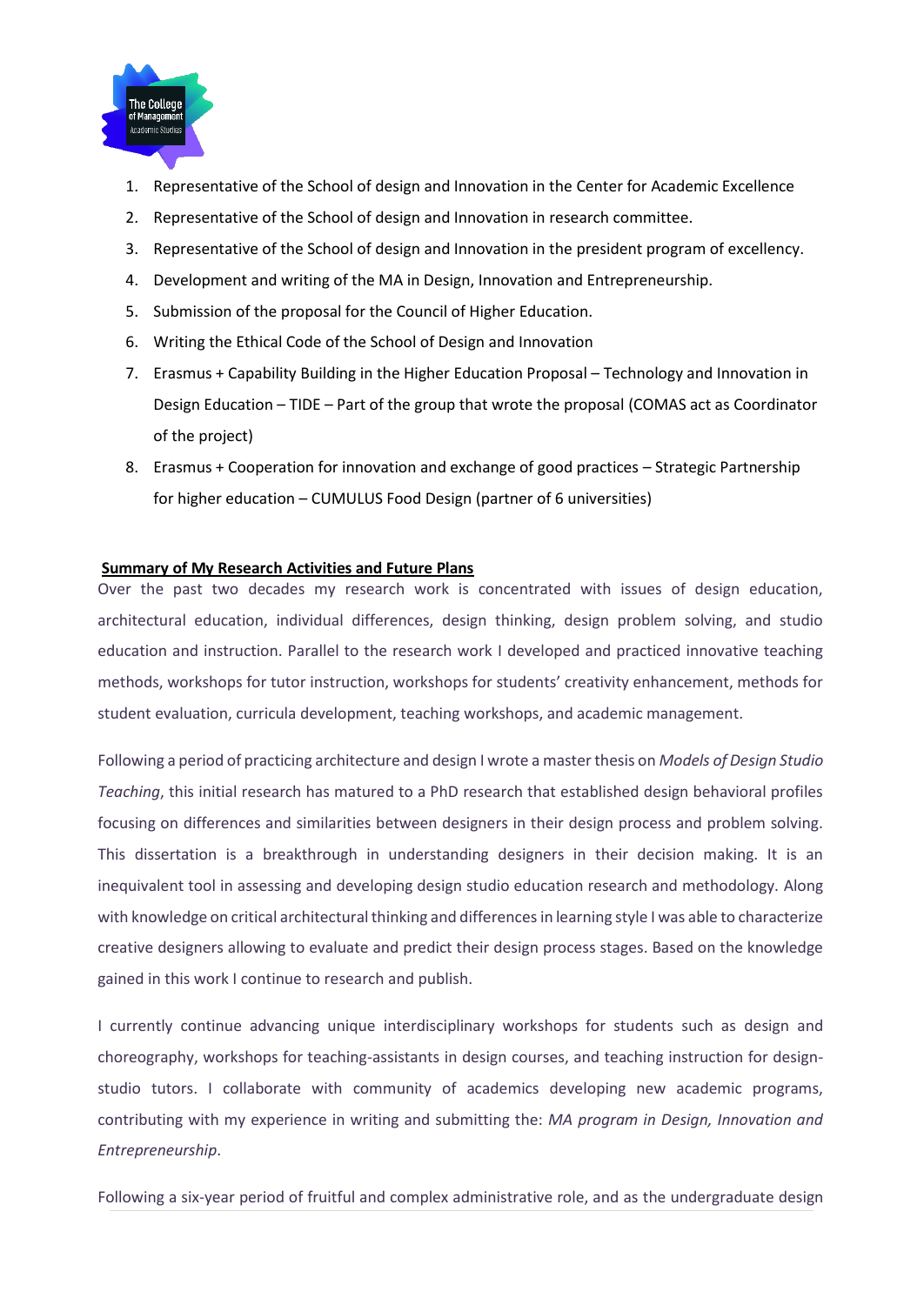

- 1. Representative of the School of design and Innovation in the Center for Academic Excellence
- 2. Representative of the School of design and Innovation in research committee.
- 3. Representative of the School of design and Innovation in the president program of excellency.
- 4. Development and writing of the MA in Design, Innovation and Entrepreneurship.
- 5. Submission of the proposal for the Council of Higher Education.
- 6. Writing the Ethical Code of the School of Design and Innovation
- 7. Erasmus + Capability Building in the Higher Education Proposal Technology and Innovation in Design Education – TIDE – Part of the group that wrote the proposal (COMAS act as Coordinator of the project)
- 8. Erasmus + Cooperation for innovation and exchange of good practices Strategic Partnership for higher education – CUMULUS Food Design (partner of 6 universities)

#### **Summary of My Research Activities and Future Plans**

Over the past two decades my research work is concentrated with issues of design education, architectural education, individual differences, design thinking, design problem solving, and studio education and instruction. Parallel to the research work I developed and practiced innovative teaching methods, workshops for tutor instruction, workshops for students' creativity enhancement, methods for student evaluation, curricula development, teaching workshops, and academic management.

Following a period of practicing architecture and design I wrote a master thesis on *Models of Design Studio Teaching*, this initial research has matured to a PhD research that established design behavioral profiles focusing on differences and similarities between designers in their design process and problem solving. This dissertation is a breakthrough in understanding designers in their decision making. It is an inequivalent tool in assessing and developing design studio education research and methodology. Along with knowledge on critical architectural thinking and differences in learning style I was able to characterize creative designers allowing to evaluate and predict their design process stages. Based on the knowledge gained in this work I continue to research and publish.

I currently continue advancing unique interdisciplinary workshops for students such as design and choreography, workshops for teaching-assistants in design courses, and teaching instruction for designstudio tutors. I collaborate with community of academics developing new academic programs, contributing with my experience in writing and submitting the: *MA program in Design, Innovation and Entrepreneurship*.

Following a six-year period of fruitful and complex administrative role, and as the undergraduate design